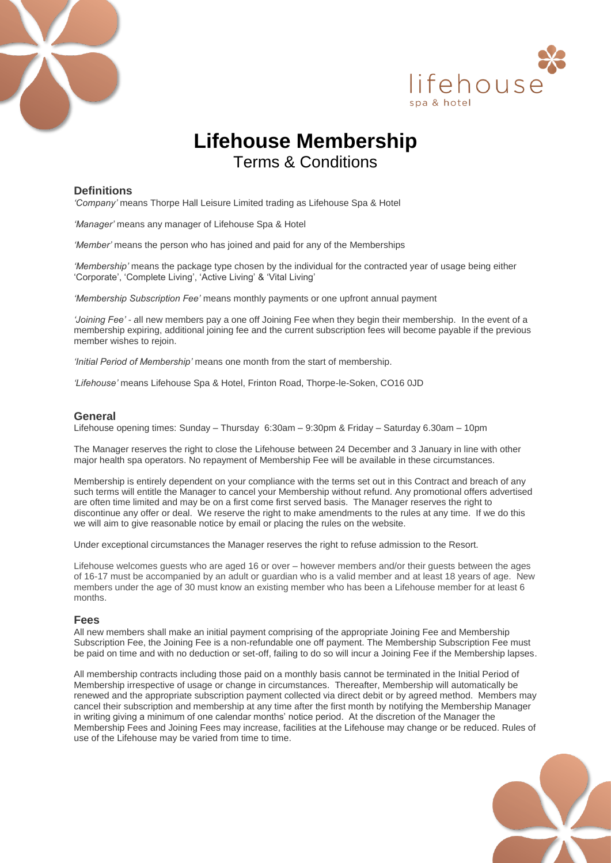



# **Lifehouse Membership** Terms & Conditions

# **Definitions**

*'Company'* means Thorpe Hall Leisure Limited trading as Lifehouse Spa & Hotel

*'Manager'* means any manager of Lifehouse Spa & Hotel

*'Member'* means the person who has joined and paid for any of the Memberships

'*Membership*' means the package type chosen by the individual for the contracted year of usage being either 'Corporate', 'Complete Living', 'Active Living' & 'Vital Living'

*'Membership Subscription Fee'* means monthly payments or one upfront annual payment

*'Joining Fee' - a*ll new members pay a one off Joining Fee when they begin their membership. In the event of a membership expiring, additional joining fee and the current subscription fees will become payable if the previous member wishes to rejoin.

*'Initial Period of Membership'* means one month from the start of membership.

*'Lifehouse'* means Lifehouse Spa & Hotel, Frinton Road, Thorpe-le-Soken, CO16 0JD

#### **General**

Lifehouse opening times: Sunday – Thursday 6:30am – 9:30pm & Friday – Saturday 6.30am – 10pm

The Manager reserves the right to close the Lifehouse between 24 December and 3 January in line with other major health spa operators. No repayment of Membership Fee will be available in these circumstances.

Membership is entirely dependent on your compliance with the terms set out in this Contract and breach of any such terms will entitle the Manager to cancel your Membership without refund. Any promotional offers advertised are often time limited and may be on a first come first served basis. The Manager reserves the right to discontinue any offer or deal. We reserve the right to make amendments to the rules at any time. If we do this we will aim to give reasonable notice by email or placing the rules on the website.

Under exceptional circumstances the Manager reserves the right to refuse admission to the Resort.

Lifehouse welcomes guests who are aged 16 or over – however members and/or their guests between the ages of 16-17 must be accompanied by an adult or guardian who is a valid member and at least 18 years of age. New members under the age of 30 must know an existing member who has been a Lifehouse member for at least 6 months.

## **Fees**

All new members shall make an initial payment comprising of the appropriate Joining Fee and Membership Subscription Fee, the Joining Fee is a non-refundable one off payment. The Membership Subscription Fee must be paid on time and with no deduction or set-off, failing to do so will incur a Joining Fee if the Membership lapses.

All membership contracts including those paid on a monthly basis cannot be terminated in the Initial Period of Membership irrespective of usage or change in circumstances. Thereafter, Membership will automatically be renewed and the appropriate subscription payment collected via direct debit or by agreed method. Members may cancel their subscription and membership at any time after the first month by notifying the Membership Manager in writing giving a minimum of one calendar months' notice period. At the discretion of the Manager the Membership Fees and Joining Fees may increase, facilities at the Lifehouse may change or be reduced. Rules of use of the Lifehouse may be varied from time to time.

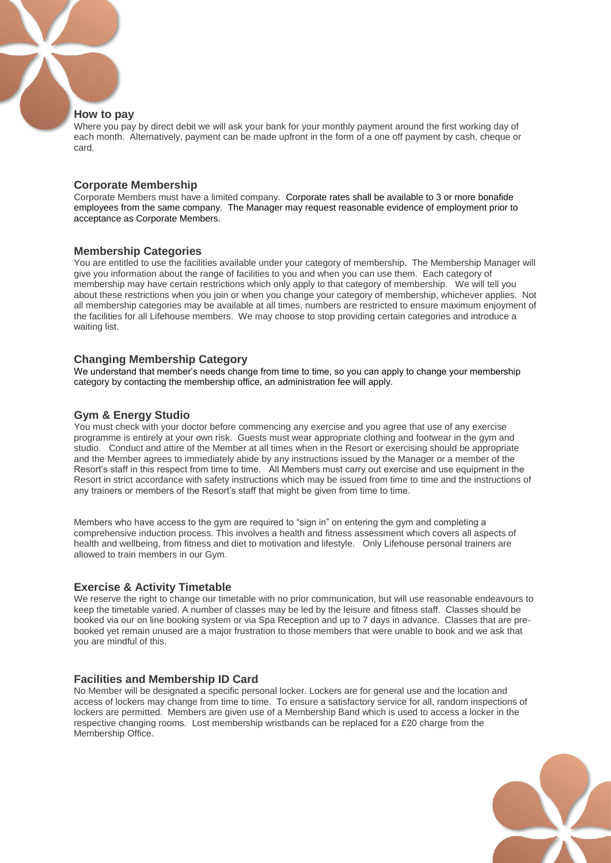## **How to pay**

Where you pay by direct debit we will ask your bank for your monthly payment around the first working day of each month. Alternatively, payment can be made upfront in the form of a one off payment by cash, cheque or card.

# **Corporate Membership**

Corporate Members must have a limited company. Corporate rates shall be available to 3 or more bonafide employees from the same company. The Manager may request reasonable evidence of employment prior to acceptance as Corporate Members.

## **Membership Categories**

You are entitled to use the facilities available under your category of membership. The Membership Manager will give you information about the range of facilities to you and when you can use them. Each category of membership may have certain restrictions which only apply to that category of membership. We will tell you about these restrictions when you join or when you change your category of membership, whichever applies. Not all membership categories may be available at all times, numbers are restricted to ensure maximum enjoyment of the facilities for all Lifehouse members. We may choose to stop providing certain categories and introduce a waiting list.

## **Changing Membership Category**

We understand that member's needs change from time to time, so you can apply to change your membership category by contacting the membership office, an administration fee will apply.

# **Gym & Energy Studio**

You must check with your doctor before commencing any exercise and you agree that use of any exercise programme is entirely at your own risk. Guests must wear appropriate clothing and footwear in the gym and studio. Conduct and attire of the Member at all times when in the Resort or exercising should be appropriate and the Member agrees to immediately abide by any instructions issued by the Manager or a member of the Resort's staff in this respect from time to time. All Members must carry out exercise and use equipment in the Resort in strict accordance with safety instructions which may be issued from time to time and the instructions of any trainers or members of the Resort's staff that might be given from time to time.

Members who have access to the gym are required to "sign in" on entering the gym and completing a comprehensive induction process. This involves a health and fitness assessment which covers all aspects of health and wellbeing, from fitness and diet to motivation and lifestyle. Only Lifehouse personal trainers are allowed to train members in our Gym.

# **Exercise & Activity Timetable**

We reserve the right to change our timetable with no prior communication, but will use reasonable endeavours to keep the timetable varied. A number of classes may be led by the leisure and fitness staff. Classes should be booked via our on line booking system or via Spa Reception and up to 7 days in advance. Classes that are prebooked yet remain unused are a major frustration to those members that were unable to book and we ask that you are mindful of this.

# **Facilities and Membership ID Card**

No Member will be designated a specific personal locker. Lockers are for general use and the location and access of lockers may change from time to time. To ensure a satisfactory service for all, random inspections of lockers are permitted. Members are given use of a Membership Band which is used to access a locker in the respective changing rooms. Lost membership wristbands can be replaced for a £20 charge from the Membership Office.

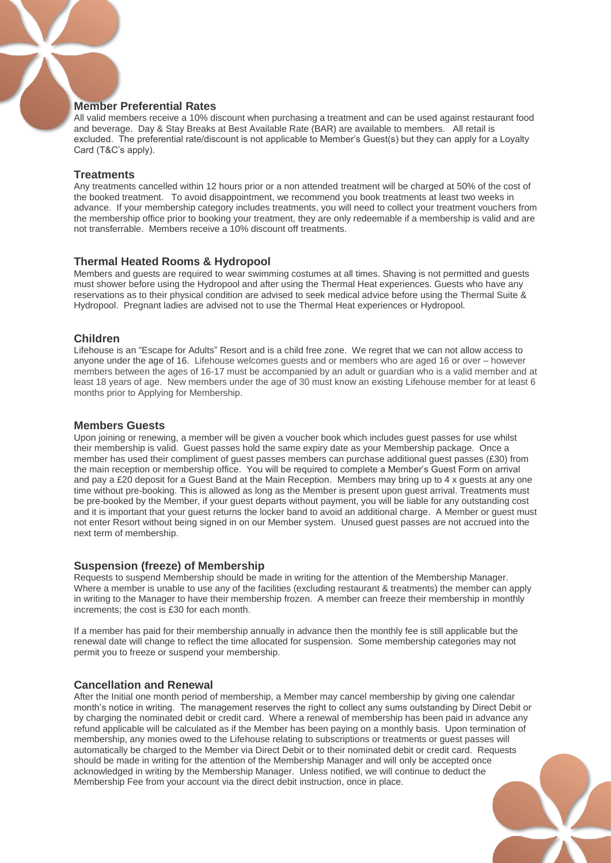# **Member Preferential Rates**

All valid members receive a 10% discount when purchasing a treatment and can be used against restaurant food and beverage. Day & Stay Breaks at Best Available Rate (BAR) are available to members. All retail is excluded. The preferential rate/discount is not applicable to Member's Guest(s) but they can apply for a Loyalty Card (T&C's apply).

## **Treatments**

Any treatments cancelled within 12 hours prior or a non attended treatment will be charged at 50% of the cost of the booked treatment. To avoid disappointment, we recommend you book treatments at least two weeks in advance. If your membership category includes treatments, you will need to collect your treatment vouchers from the membership office prior to booking your treatment, they are only redeemable if a membership is valid and are not transferrable. Members receive a 10% discount off treatments.

## **Thermal Heated Rooms & Hydropool**

Members and guests are required to wear swimming costumes at all times. Shaving is not permitted and guests must shower before using the Hydropool and after using the Thermal Heat experiences. Guests who have any reservations as to their physical condition are advised to seek medical advice before using the Thermal Suite & Hydropool. Pregnant ladies are advised not to use the Thermal Heat experiences or Hydropool.

## **Children**

Lifehouse is an "Escape for Adults" Resort and is a child free zone. We regret that we can not allow access to anyone under the age of 16. Lifehouse welcomes guests and or members who are aged 16 or over – however members between the ages of 16-17 must be accompanied by an adult or guardian who is a valid member and at least 18 years of age. New members under the age of 30 must know an existing Lifehouse member for at least 6 months prior to Applying for Membership.

## **Members Guests**

Upon joining or renewing, a member will be given a voucher book which includes guest passes for use whilst their membership is valid. Guest passes hold the same expiry date as your Membership package. Once a member has used their compliment of guest passes members can purchase additional guest passes (£30) from the main reception or membership office. You will be required to complete a Member's Guest Form on arrival and pay a £20 deposit for a Guest Band at the Main Reception. Members may bring up to 4 x guests at any one time without pre-booking. This is allowed as long as the Member is present upon guest arrival. Treatments must be pre-booked by the Member, if your guest departs without payment, you will be liable for any outstanding cost and it is important that your guest returns the locker band to avoid an additional charge. A Member or guest must not enter Resort without being signed in on our Member system. Unused guest passes are not accrued into the next term of membership.

## **Suspension (freeze) of Membership**

Requests to suspend Membership should be made in writing for the attention of the Membership Manager. Where a member is unable to use any of the facilities (excluding restaurant & treatments) the member can apply in writing to the Manager to have their membership frozen. A member can freeze their membership in monthly increments; the cost is £30 for each month.

If a member has paid for their membership annually in advance then the monthly fee is still applicable but the renewal date will change to reflect the time allocated for suspension. Some membership categories may not permit you to freeze or suspend your membership.

# **Cancellation and Renewal**

After the Initial one month period of membership, a Member may cancel membership by giving one calendar month's notice in writing. The management reserves the right to collect any sums outstanding by Direct Debit or by charging the nominated debit or credit card. Where a renewal of membership has been paid in advance any refund applicable will be calculated as if the Member has been paying on a monthly basis. Upon termination of membership, any monies owed to the Lifehouse relating to subscriptions or treatments or guest passes will automatically be charged to the Member via Direct Debit or to their nominated debit or credit card. Requests should be made in writing for the attention of the Membership Manager and will only be accepted once acknowledged in writing by the Membership Manager. Unless notified, we will continue to deduct the Membership Fee from your account via the direct debit instruction, once in place.